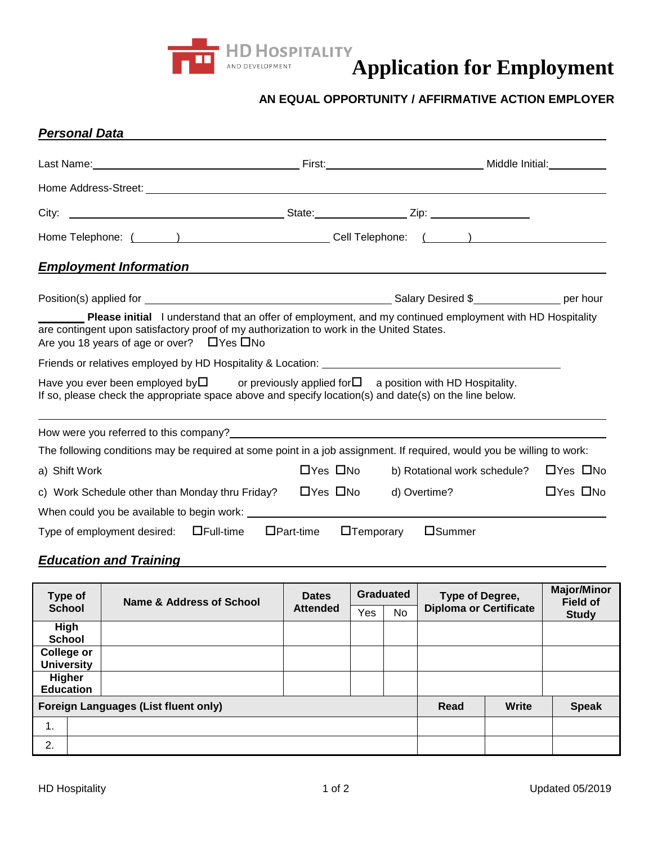

# **Application for Employment Application for Amployment**

### **AN EQUAL OPPORTUNITY / AFFIRMATIVE ACTION EMPLOYER**

| <b>Personal Data</b>                                                                                                                                                                                                                                          |                      |                                                   |                      |  |
|---------------------------------------------------------------------------------------------------------------------------------------------------------------------------------------------------------------------------------------------------------------|----------------------|---------------------------------------------------|----------------------|--|
| Last Name: Middle Initial: Manual Communication of Pinest: Middle Initial: Middle Initial: Middle Initial:                                                                                                                                                    |                      |                                                   |                      |  |
|                                                                                                                                                                                                                                                               |                      |                                                   |                      |  |
|                                                                                                                                                                                                                                                               |                      |                                                   |                      |  |
|                                                                                                                                                                                                                                                               |                      |                                                   |                      |  |
| <b>Employment Information</b>                                                                                                                                                                                                                                 |                      |                                                   |                      |  |
|                                                                                                                                                                                                                                                               |                      |                                                   |                      |  |
| Please initial I understand that an offer of employment, and my continued employment with HD Hospitality<br>are contingent upon satisfactory proof of my authorization to work in the United States.<br>Are you 18 years of age or over? $\Box$ Yes $\Box$ No |                      |                                                   |                      |  |
|                                                                                                                                                                                                                                                               |                      |                                                   |                      |  |
| Have you ever been employed by $\square$ or previously applied for $\square$ a position with HD Hospitality.<br>If so, please check the appropriate space above and specify location(s) and date(s) on the line below.                                        |                      |                                                   |                      |  |
| How were you referred to this company?<br>The state of the state of the state of the state of the state of the state of the state of the state of the state of the state of the state of the state of the state of the state of                               |                      |                                                   |                      |  |
| The following conditions may be required at some point in a job assignment. If required, would you be willing to work:                                                                                                                                        |                      |                                                   |                      |  |
| a) Shift Work                                                                                                                                                                                                                                                 | $\Box$ Yes $\Box$ No | b) Rotational work schedule? $\Box$ Yes $\Box$ No |                      |  |
| c) Work Schedule other than Monday thru Friday? $\Box$ Yes $\Box$ No                                                                                                                                                                                          |                      | d) Overtime?                                      | $\Box$ Yes $\Box$ No |  |
|                                                                                                                                                                                                                                                               |                      |                                                   |                      |  |
| Type of employment desired: $\Box$ Full-time<br>$\Box$ Part-time                                                                                                                                                                                              | $\Box$ Temporary     | $\square$ Summer                                  |                      |  |

# *Education and Training*

| Type of<br><b>School</b>                    |  | Name & Address of School | <b>Dates</b><br><b>Attended</b> | Graduated |           | Type of Degree,               |              | <b>Major/Minor</b><br><b>Field of</b> |
|---------------------------------------------|--|--------------------------|---------------------------------|-----------|-----------|-------------------------------|--------------|---------------------------------------|
|                                             |  |                          |                                 | Yes       | <b>No</b> | <b>Diploma or Certificate</b> |              | <b>Study</b>                          |
| <b>High</b>                                 |  |                          |                                 |           |           |                               |              |                                       |
| <b>School</b>                               |  |                          |                                 |           |           |                               |              |                                       |
| College or                                  |  |                          |                                 |           |           |                               |              |                                       |
| <b>University</b>                           |  |                          |                                 |           |           |                               |              |                                       |
| <b>Higher</b>                               |  |                          |                                 |           |           |                               |              |                                       |
| <b>Education</b>                            |  |                          |                                 |           |           |                               |              |                                       |
| <b>Foreign Languages (List fluent only)</b> |  |                          |                                 |           | Read      | Write                         | <b>Speak</b> |                                       |
| 1.                                          |  |                          |                                 |           |           |                               |              |                                       |
| 2.                                          |  |                          |                                 |           |           |                               |              |                                       |